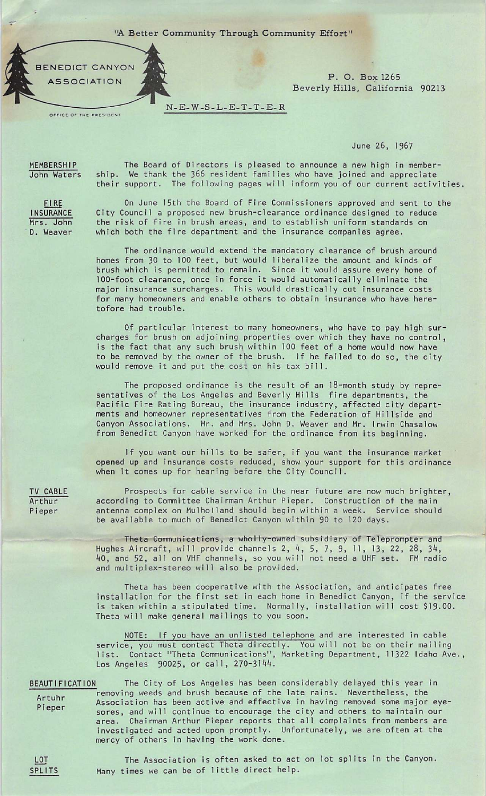"A Better Community Through Community Effort"

N-E-W-S-L-E-T-T-E-R



OFFICE OF THE PRESIDENT

ASSOCIATION ASSOCIATION ASSOCIATION Beverly Hills, California 90213

June 26, 1967

MEMBERSHIP John Waters

FIRE INSURANCE Mrs. John D. Weaver

The Board of Directors is pleased to announce a new high in member ship. We thank the 366 resident families who have joined and appreciate their support. The following pages will inform you of our current activities.

On June 15th the Board of Fire Commissioners approved and sent to the City Council a proposed new brush-clearance ordinance designed to reduce the risk of fire in brush areas, and to establish uniform standards on which both the fire department and the insurance companies agree.

The ordinance would extend the mandatory clearance of brush around homes from 30 to 100 feet, but would liberalize the amount and kinds of brush which is permitted to remain. Since it would assure every home of 100-foot clearance, once in force it would automatically eliminate the major insurance surcharges. This would drastically cut insurance costs for many homeowners and enable others to obtain insurance who have here tofore had trouble.

Of particular interest to many homeowners, who have to pay high sur charges for brush on adjoining properties over which they have no control, is the fact that any such brush within 100 feet of a home would now have to be removed by the owner of the brush. If he failed to do so, the city would remove it and put the cost on his tax bill.

The proposed ordinance is the result of an 18-month study by repre sentatives of the Los Angeles and Beverly Hills fire departments, the Pacific Fire Rating Bureau, the insurance industry, affected city departments and homeowner representatives from the Federation of Hillside and Canyon Associations. Mr. and Mrs. John D. Weaver and Mr. Irwin Chasalow from Benedict Canyon have worked for the ordinance from its beginning.

If you want our hills to be safer, if you want the insurance market opened up and insurance costs reduced, show your support for this ordinance when it comes up for hearing before the City Council.

Prospects for cable service in the near future are now much brighter, according to Committee Chairman Arthur Pieper. Construction of the main antenna complex on Mulholland should begin within a week. Service should be available to much of Benedict Canyon within 90 to 120 days.

Theta Communications, a wholly-owned subsidiary of Teleprompter and Hughes Aircraft, Will provide channels 2, 4, 5, 7, 9, 11, 13, 22, 26, 34, bQ, and 52, all on VHF channels, so you will not need a UHF set. FM radio and multiplex-stereo will also be provided.

Theta has been cooperative with the Association, and anticipates free installation for the first set in each home in Benedict Canyon, if the service is taken within a stipulated time. Normally, installation will cost \$19.00. Theta will make general mailings to you soon.

NOTE: If you have an unlisted telephone and are interested in cable service, you must contact Theta directly. You will not be on their mailing<br>list. Contact "Theta Communications", Marketing Department, 11322 Idaho Ave Contact "Theta Communications", Marketing Department, 11322 Idaho Ave., Los Angeles 90025, or call, 270-3144.

BEAUTIFICATION The City of Los Angeles has been considerably delayed this year in removing weeds and brush because of the late rains. Nevertheless, the Artuhr Pieper Association has been active and effective in having removed some major eye sores, and will continue to encourage the city and others to maintain our area. Chairman Arthur Pieper reports that all complaints from members are investigated and acted upon promptly. Unfortunately, we are often at the mercy of others in having the work done.

TV CABLE Arthur Pieper

**LOT** SPLITS

The Association is often asked to act on lot splits in the Canyon. Many times we can be of little direct help.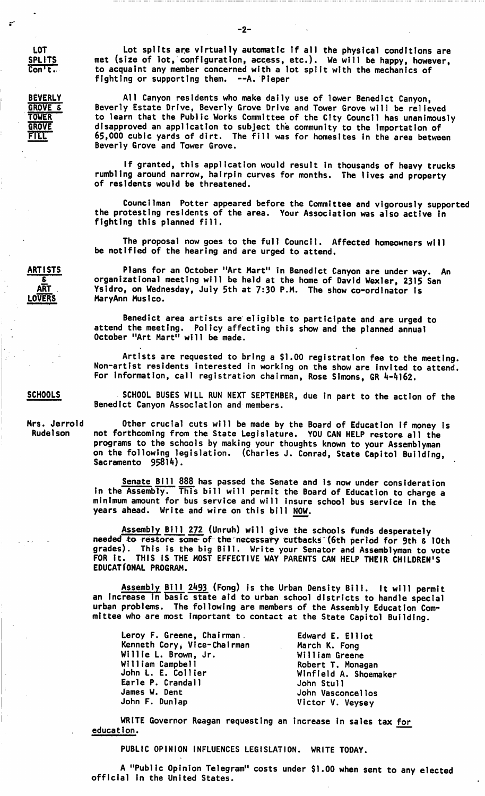BEVERLY GROVE & **TOWER**<br>GROVE FTLL

Lot splits are virtually automatic If all the physical conditions are met (size of lot, configuration, access, etc.). We will be happy, however, to acquaint any member concerned with a lot split with the mechanics of fighting or supporting them. -- A. Pieper

All Canyon residents who make daily use of lower Benedict Canyon, Beverly Estate Drive, Beverly Grove Drive and Tower Grove will be relieved to learn that the Public Works Committee of the City Council has unanimously disapproved an application to subject the community to the importation of 65,000 cubic yards of dirt. The fill was for homesltes in the area between Beverly Grove and Tower Grove.

If granted, this application would result In thousands of heavy trucks rumbling around narrow, hairpin curves for months. The lives and property of residents would be threatened.

Councilman Potter appeared before the Committee and vigorously supported the protesting residents of the area. Your Association was also active in fighting this planned fill.

The proposal now goes to the full Council. Affected homeowners will be notified of the hearing and are urged to attend.

Plans for an October "Art Mart" in Benedict Canyon are under way. An organizational meeting will be held at the home of David Wexler, 2315 San Ysidro, on Wednesday, July 5th at 7:30 P.M. The show co-ordinator is MaryAnn Musico.

Benedict area artists are eligible to participate and are urged to attend the meeting. Policy affecting this show and the planned annual October "Art Mart" will be made.

Artists are requested to bring a \$1.00 registration fee to the meeting. Non-artist residents interested in working on the show are invited to attend. For information, call registration chairman, Rose Simons, GR 4-4162.

SCHOOL BUSES WILL RUN NEXT SEPTEMBER, due in part to the action of the Benedict Canyon Association and members.

Other crucial cuts will be made by the Board of Education if money is not forthcoming from the State Legislature. YOU CAN HELP restore all the programs to the schools by making your thoughts known to your Assemblyman on the following legislation. (Charles J. Conrad, State Capitol Building, Sacramento 95814).

Senate Bill 888 has passed the Senate and is now under consideration in the Assembly. This bill will permit the Board of Education to charge a minimum amount for bus service and will insure school bus service in the years ahead. Write and wire on this bill NOW.

Assembly Bill 272 (Unruh) will give the schools funds desperately needed to restore some of the necessary cutbacks (6th period for 9th & 10th<br>grades). This is the big Bill. Write your Senator and Assemblyman to vote grades). This is the big Bill. Write your Senator and Assemblyman to vote FOR It. THIS IS THE MOST EFFECTIVE WAY PARENTS CAN HELP THEIR CHILDREN'S EDUCATIONAL PROGRAM.

Assembly Bill 2493 (Fong) is the Urban Density Bill. It will permit an increase in basic state aid to urban school districts to handle special urban problems. The following are members of the Assembly Education Com mittee who are most important to contact at the State Capitol Building.

| Leroy F. Greene, Chairman.  | Edward E. Elliot      |
|-----------------------------|-----------------------|
| Kenneth Cory, Vice-Chairman | March K. Fong         |
| Willie L. Brown, Jr.        | William Greene        |
| William Campbell            | Robert T. Monagan     |
| John L. E. Collier          | Winfield A. Shoemaker |
| Earle P. Crandall           | John Stull            |
| James W. Dent               | John Vasconcellos     |
| John F. Dunlap              | Victor V. Veysey      |

WRITE Governor Reagan requesting an increase in sales tax for education.

PUBLIC OPINION INFLUENCES LEGISLATION. WRITE TODAY.

A "Public Opinion Telegram" costs under \$1.00 when sent to any elected official in the United States.

ARTISTS £ ART LOVERS

**SCHOOLS** 

Mrs. Jerrold Rudelson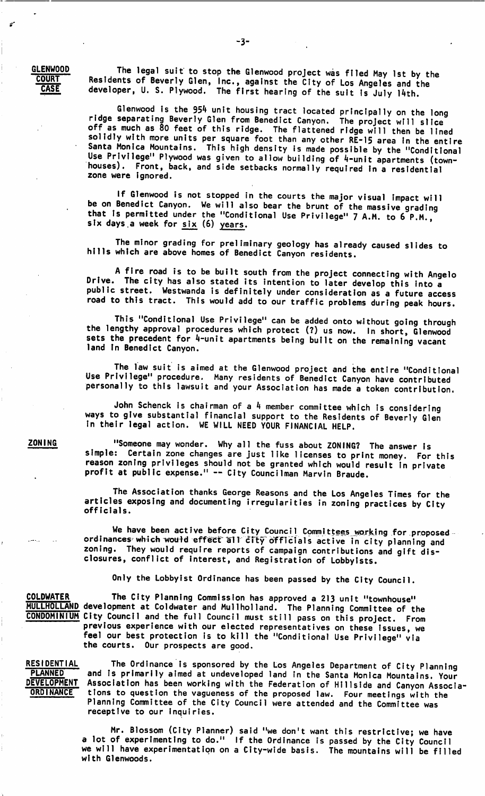GLENWOOD **COURT** CASE

The legal suit to stop the Glenwood project was filed May 1st by the Residents of Beverly Glen, Inc., against the City of Los Angeles and the developer, U. S. Plywood. The first hearing of the suit Is July 14th.

Glenwood is the 954 unit housing tract located principally on the long<br>ridge separating Beverly Glen from Benedict Canyon. The project will slice ridge separating Beverly Glen from Benedict Canyon. The project will slice off as much as 80 feet of this ridge. The flattened ridge will then be lined solidly with more units per square foot than any other RE-15 area In the entire Santa Monica Mountains. This high density is made possible by the "Conditional Use Privilege" Plywood was given to allow building of 4-unit apartments (townhouses). Front, back, and side setbacks normally required In a residential zone were ignored.

If Glenwood is not stopped in the courts the major visual impact will be on Benedict Canyon. We will also bear the brunt of the massive grading that Is permitted under the "Conditional Use Privilege" 7 A.M. to 6 P.M. six days a week for six (6) years.

The minor grading for preliminary geology has already caused slides to hills which are above homes of Benedict Canyon residents.

A fire road is to be built south from the project connecting with Angelo Drive. The city has also stated its intention to later develop this into a public street. Westwanda is definitely under consideration as a future access road to this tract. This would add to our traffic problems during peak hours.

This "Conditional Use Privilege" can be added onto without going through the lengthy approval procedures which protect (7) us now. In short, Glenwood sets the precedent for 4-unit apartments being built on the remaining vacant land in Benedict Canyon.

The law suit is aimed at the Glenwood project and the entire "Conditional Use Privilege" procedure. Many residents of Benedict Canyon have contributed personally to this lawsuit and your Association has made a token contribution.

John Schenck is chairman of a  $4$  member committee which is considering ways to give substantial financial support to the Residents of Beverly Glen in their legal action. WE WILL NEED YOUR FINANCIAL HELP.

**ZONING** 

"Someone may wonder. Why all the fuss about ZONING? The answer is simple: Certain zone changes are just like licenses to print money. For this reason zoning privileges should not be granted which would result in private profit at public expense." ~ City Councilman Marvin Braude.

The Association thanks George Reasons and the Los Angeles Times for the articles exposing and documenting irregularities in zoning practices by City officials.

We have been active before City Council Committees working for proposed. ord Inances which would effect all city officials active in city planning and zoning. They would require reports of campaign contributions and gift dis closures, conflict of Interest, and Registration of Lobbyists.

Only the Lobbyist Ordinance has been passed by the City Council.

COLDWATER The City Planning Commission has approved a 213 unit "townhouse" MULLHOLLAND development at Coldwater and Mullholland. The Planning Committee of the CONDOMINIUM City Council and the full Council must still pass on this project. From previous experience with our elected representatives on these issues, we feel our best protection is to kill the "Conditional Use Privilege" via the courts. Our prospects are good.

**RESIDENTIAL** PLANNED DEVELOPMENT **ORDINANCE** 

The Ordinance is sponsored by the Los Angeles Department of City Planning and Is primarily aimed at undeveloped land in the Santa Monica Mountains. Your Association has been working with the Federation of Hillside and Canyon Associa tions to question the vagueness of the proposed law. Four meetings with the Planning Committee of the City Council were attended and the Committee was receptive to our inquiries.

Mr. Blossom (City Planner) said "we don't want this restrictive; we have a lot of experimenting to do." If the Ordinance is passed by the City Council we will have experimentation on a City-wide basis. The mountains will be filled with Glenwoods.